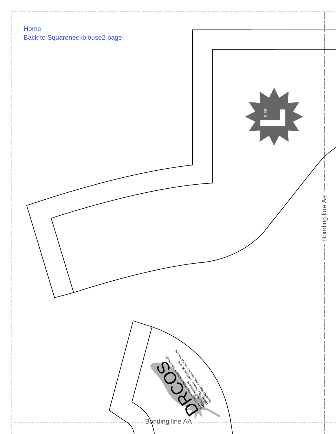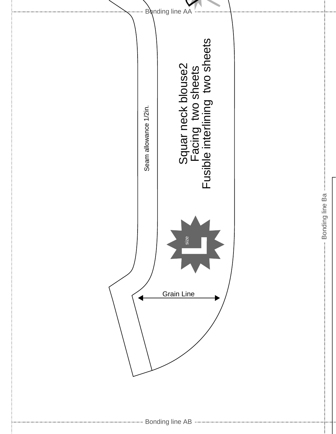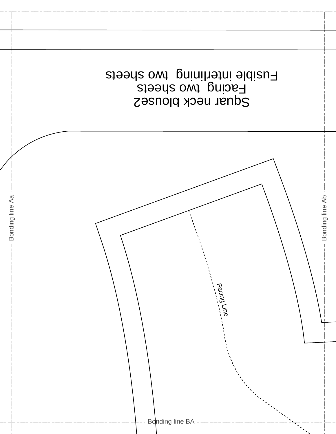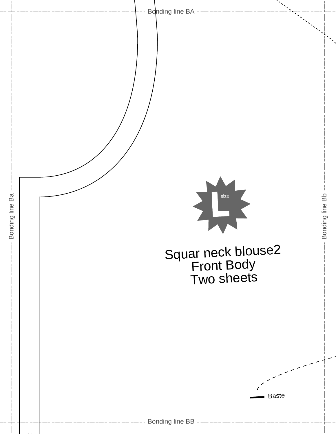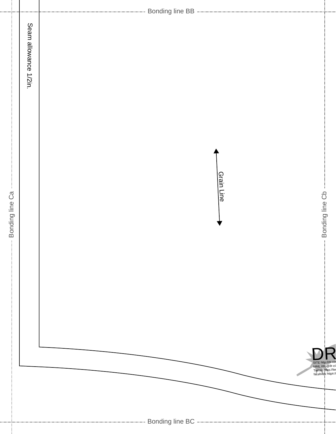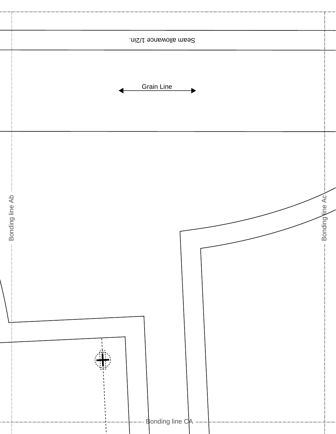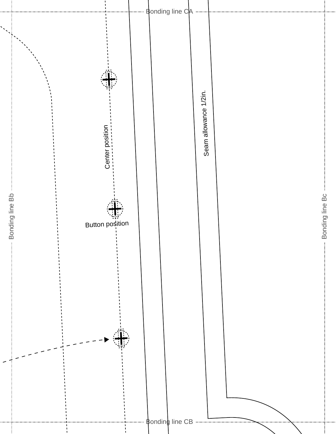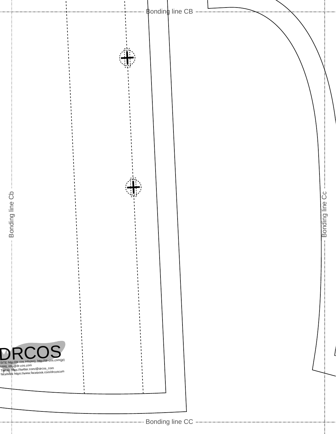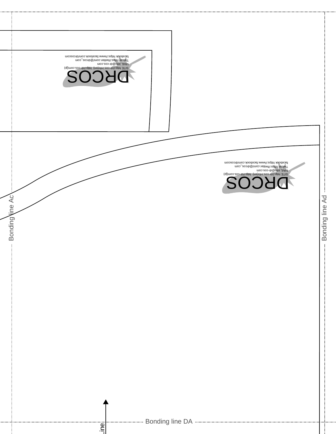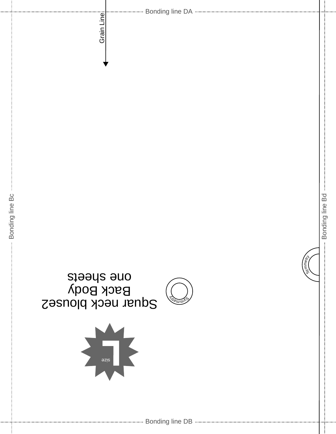